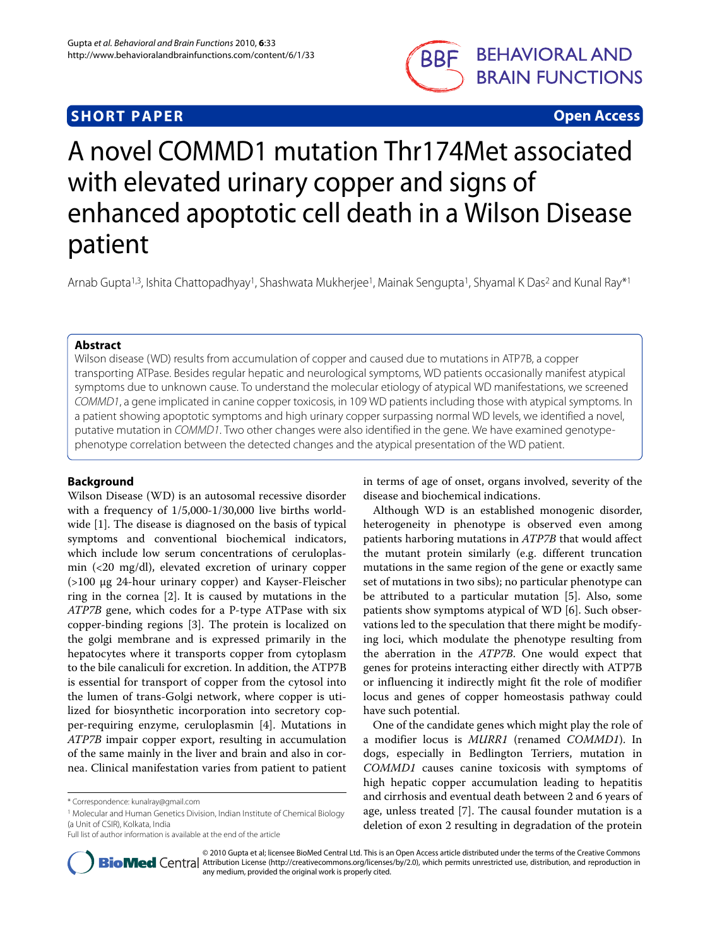# **SHORT PAPER Open Access**



# A novel COMMD1 mutation Thr174Met associated with elevated urinary copper and signs of enhanced apoptotic cell death in a Wilson Disease patient

Arnab Gupta<sup>1,3</sup>, Ishita Chattopadhyay<sup>1</sup>, Shashwata Mukherjee<sup>1</sup>, Mainak Sengupta<sup>1</sup>, Shyamal K Das<sup>2</sup> and Kunal Ray<sup>\*1</sup>

# **Abstract**

Wilson disease (WD) results from accumulation of copper and caused due to mutations in ATP7B, a copper transporting ATPase. Besides regular hepatic and neurological symptoms, WD patients occasionally manifest atypical symptoms due to unknown cause. To understand the molecular etiology of atypical WD manifestations, we screened COMMD1, a gene implicated in canine copper toxicosis, in 109 WD patients including those with atypical symptoms. In a patient showing apoptotic symptoms and high urinary copper surpassing normal WD levels, we identified a novel, putative mutation in COMMD1. Two other changes were also identified in the gene. We have examined genotypephenotype correlation between the detected changes and the atypical presentation of the WD patient.

# **Background**

Wilson Disease (WD) is an autosomal recessive disorder with a frequency of 1/5,000-1/30,000 live births worldwide [\[1\]](#page-4-0). The disease is diagnosed on the basis of typical symptoms and conventional biochemical indicators, which include low serum concentrations of ceruloplasmin (<20 mg/dl), elevated excretion of urinary copper (>100 μg 24-hour urinary copper) and Kayser-Fleischer ring in the cornea [[2\]](#page-4-1). It is caused by mutations in the ATP7B gene, which codes for a P-type ATPase with six copper-binding regions [[3\]](#page-4-2). The protein is localized on the golgi membrane and is expressed primarily in the hepatocytes where it transports copper from cytoplasm to the bile canaliculi for excretion. In addition, the ATP7B is essential for transport of copper from the cytosol into the lumen of trans-Golgi network, where copper is utilized for biosynthetic incorporation into secretory copper-requiring enzyme, ceruloplasmin [[4\]](#page-4-3). Mutations in ATP7B impair copper export, resulting in accumulation of the same mainly in the liver and brain and also in cornea. Clinical manifestation varies from patient to patient

in terms of age of onset, organs involved, severity of the disease and biochemical indications.

Although WD is an established monogenic disorder, heterogeneity in phenotype is observed even among patients harboring mutations in ATP7B that would affect the mutant protein similarly (e.g. different truncation mutations in the same region of the gene or exactly same set of mutations in two sibs); no particular phenotype can be attributed to a particular mutation [[5\]](#page-4-4). Also, some patients show symptoms atypical of WD [\[6\]](#page-4-5). Such observations led to the speculation that there might be modifying loci, which modulate the phenotype resulting from the aberration in the ATP7B. One would expect that genes for proteins interacting either directly with ATP7B or influencing it indirectly might fit the role of modifier locus and genes of copper homeostasis pathway could have such potential.

One of the candidate genes which might play the role of a modifier locus is MURR1 (renamed COMMD1). In dogs, especially in Bedlington Terriers, mutation in COMMD1 causes canine toxicosis with symptoms of high hepatic copper accumulation leading to hepatitis and cirrhosis and eventual death between 2 and 6 years of age, unless treated [\[7](#page-4-6)]. The causal founder mutation is a deletion of exon 2 resulting in degradation of the protein



© 2010 Gupta et al; licensee BioMed Central Ltd. This is an Open Access article distributed under the terms of the Creative Commons **BioMed** Central Attribution License (http://creativecommons.org/licenses/by/2.0), which permits unrestricted use, distribution, and reproduction in any medium, provided the original work is properly cited.

<sup>\*</sup> Correspondence: kunalray@gmail.com

<sup>1</sup> Molecular and Human Genetics Division, Indian Institute of Chemical Biology (a Unit of CSIR), Kolkata, India

Full list of author information is available at the end of the article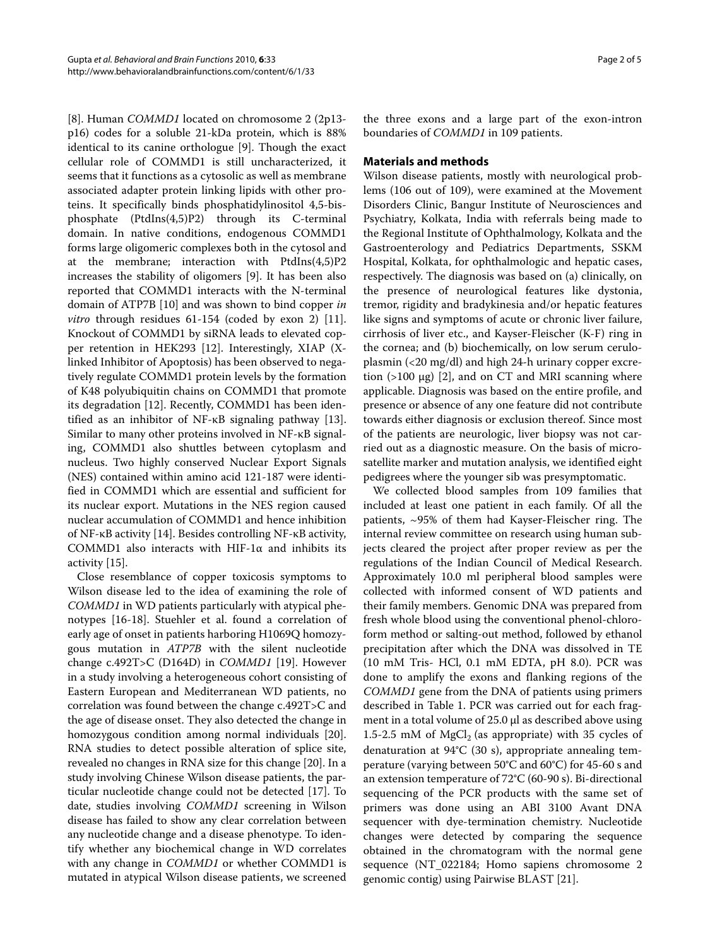[[8\]](#page-4-7). Human COMMD1 located on chromosome 2 (2p13 p16) codes for a soluble 21-kDa protein, which is 88% identical to its canine orthologue [[9\]](#page-4-8). Though the exact cellular role of COMMD1 is still uncharacterized, it seems that it functions as a cytosolic as well as membrane associated adapter protein linking lipids with other proteins. It specifically binds phosphatidylinositol 4,5-bisphosphate (PtdIns(4,5)P2) through its C-terminal domain. In native conditions, endogenous COMMD1 forms large oligomeric complexes both in the cytosol and at the membrane; interaction with PtdIns(4,5)P2 increases the stability of oligomers [[9](#page-4-8)]. It has been also reported that COMMD1 interacts with the N-terminal domain of ATP7B [[10\]](#page-4-9) and was shown to bind copper in vitro through residues 61-154 (coded by exon 2) [\[11](#page-4-10)]. Knockout of COMMD1 by siRNA leads to elevated copper retention in HEK293 [\[12\]](#page-4-11). Interestingly, XIAP (Xlinked Inhibitor of Apoptosis) has been observed to negatively regulate COMMD1 protein levels by the formation of K48 polyubiquitin chains on COMMD1 that promote its degradation [\[12](#page-4-11)]. Recently, COMMD1 has been identified as an inhibitor of NF-κB signaling pathway [\[13](#page-4-12)]. Similar to many other proteins involved in NF-κB signaling, COMMD1 also shuttles between cytoplasm and nucleus. Two highly conserved Nuclear Export Signals (NES) contained within amino acid 121-187 were identified in COMMD1 which are essential and sufficient for its nuclear export. Mutations in the NES region caused nuclear accumulation of COMMD1 and hence inhibition of NF-κB activity [[14\]](#page-4-13). Besides controlling NF-κB activity, COMMD1 also interacts with HIF-1α and inhibits its activity [[15\]](#page-4-14).

Close resemblance of copper toxicosis symptoms to Wilson disease led to the idea of examining the role of COMMD1 in WD patients particularly with atypical phenotypes [[16-](#page-4-15)[18\]](#page-4-16). Stuehler et al. found a correlation of early age of onset in patients harboring H1069Q homozygous mutation in ATP7B with the silent nucleotide change c.492T>C (D164D) in COMMD1 [[19\]](#page-4-17). However in a study involving a heterogeneous cohort consisting of Eastern European and Mediterranean WD patients, no correlation was found between the change c.492T>C and the age of disease onset. They also detected the change in homozygous condition among normal individuals [\[20](#page-4-18)]. RNA studies to detect possible alteration of splice site, revealed no changes in RNA size for this change [[20](#page-4-18)]. In a study involving Chinese Wilson disease patients, the particular nucleotide change could not be detected [\[17](#page-4-19)]. To date, studies involving COMMD1 screening in Wilson disease has failed to show any clear correlation between any nucleotide change and a disease phenotype. To identify whether any biochemical change in WD correlates with any change in COMMD1 or whether COMMD1 is mutated in atypical Wilson disease patients, we screened

the three exons and a large part of the exon-intron boundaries of COMMD1 in 109 patients.

# **Materials and methods**

Wilson disease patients, mostly with neurological problems (106 out of 109), were examined at the Movement Disorders Clinic, Bangur Institute of Neurosciences and Psychiatry, Kolkata, India with referrals being made to the Regional Institute of Ophthalmology, Kolkata and the Gastroenterology and Pediatrics Departments, SSKM Hospital, Kolkata, for ophthalmologic and hepatic cases, respectively. The diagnosis was based on (a) clinically, on the presence of neurological features like dystonia, tremor, rigidity and bradykinesia and/or hepatic features like signs and symptoms of acute or chronic liver failure, cirrhosis of liver etc., and Kayser-Fleischer (K-F) ring in the cornea; and (b) biochemically, on low serum ceruloplasmin (<20 mg/dl) and high 24-h urinary copper excretion (>100 μg) [[2\]](#page-4-1), and on CT and MRI scanning where applicable. Diagnosis was based on the entire profile, and presence or absence of any one feature did not contribute towards either diagnosis or exclusion thereof. Since most of the patients are neurologic, liver biopsy was not carried out as a diagnostic measure. On the basis of microsatellite marker and mutation analysis, we identified eight pedigrees where the younger sib was presymptomatic.

We collected blood samples from 109 families that included at least one patient in each family. Of all the patients, ~95% of them had Kayser-Fleischer ring. The internal review committee on research using human subjects cleared the project after proper review as per the regulations of the Indian Council of Medical Research. Approximately 10.0 ml peripheral blood samples were collected with informed consent of WD patients and their family members. Genomic DNA was prepared from fresh whole blood using the conventional phenol-chloroform method or salting-out method, followed by ethanol precipitation after which the DNA was dissolved in TE (10 mM Tris- HCl, 0.1 mM EDTA, pH 8.0). PCR was done to amplify the exons and flanking regions of the COMMD1 gene from the DNA of patients using primers described in Table 1. PCR was carried out for each fragment in a total volume of 25.0 μl as described above using 1.5-2.5 mM of MgCl<sub>2</sub> (as appropriate) with 35 cycles of denaturation at 94°C (30 s), appropriate annealing temperature (varying between 50°C and 60°C) for 45-60 s and an extension temperature of 72°C (60-90 s). Bi-directional sequencing of the PCR products with the same set of primers was done using an ABI 3100 Avant DNA sequencer with dye-termination chemistry. Nucleotide changes were detected by comparing the sequence obtained in the chromatogram with the normal gene sequence (NT\_022184; Homo sapiens chromosome 2 genomic contig) using Pairwise BLAST [\[21\]](#page-4-20).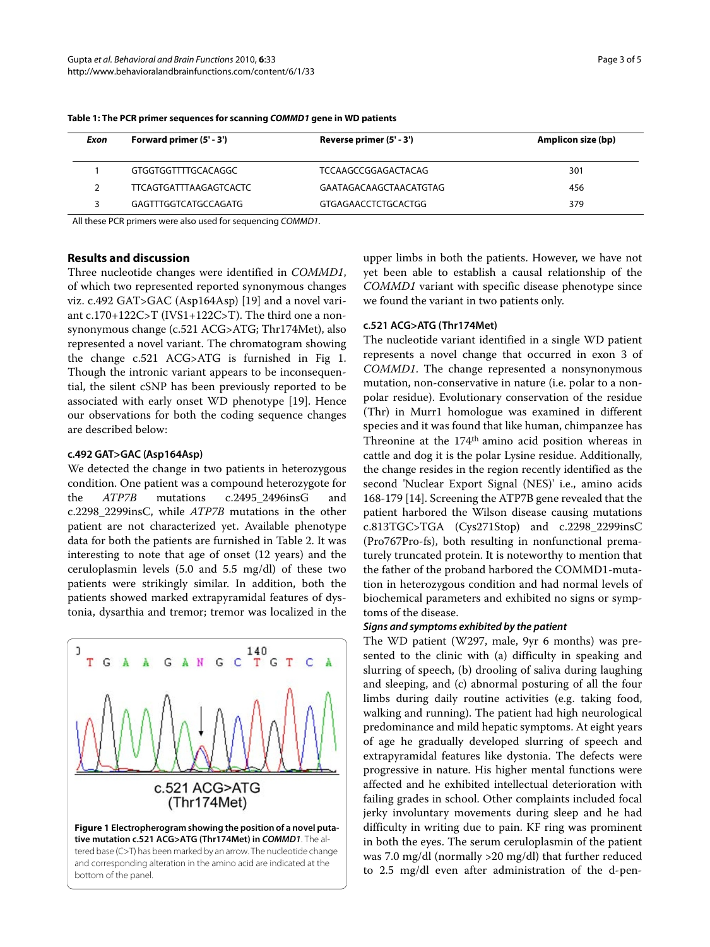| Exon | Forward primer (5' - 3') | Reverse primer (5' - 3') | Amplicon size (bp) |
|------|--------------------------|--------------------------|--------------------|
|      | GTGGTGGTTTTGCACAGGC      | TCCAAGCCGGAGACTACAG      | 301                |
|      | TTCAGTGATTTAAGAGTCACTC   | GAATAGACAAGCTAACATGTAG   | 456                |
|      | GAGTTTGGTCATGCCAGATG     | GTGAGAACCTCTGCACTGG      | 379                |

**Table 1: The PCR primer sequences for scanning COMMD1 gene in WD patients**

All these PCR primers were also used for sequencing COMMD1.

# **Results and discussion**

Three nucleotide changes were identified in COMMD1, of which two represented reported synonymous changes viz. c.492 GAT>GAC (Asp164Asp) [[19\]](#page-4-17) and a novel variant c.170+122C>T (IVS1+122C>T). The third one a nonsynonymous change (c.521 ACG>ATG; Thr174Met), also represented a novel variant. The chromatogram showing the change c.521 ACG>ATG is furnished in Fig [1](#page-2-0). Though the intronic variant appears to be inconsequential, the silent cSNP has been previously reported to be associated with early onset WD phenotype [\[19](#page-4-17)]. Hence our observations for both the coding sequence changes are described below:

# **c.492 GAT>GAC (Asp164Asp)**

We detected the change in two patients in heterozygous condition. One patient was a compound heterozygote for the ATP7B mutations c.2495\_2496insG and c.2298\_2299insC, while ATP7B mutations in the other patient are not characterized yet. Available phenotype data for both the patients are furnished in Table [2](#page-3-0). It was interesting to note that age of onset (12 years) and the ceruloplasmin levels (5.0 and 5.5 mg/dl) of these two patients were strikingly similar. In addition, both the patients showed marked extrapyramidal features of dystonia, dysarthia and tremor; tremor was localized in the

<span id="page-2-0"></span>

and corresponding alteration in the amino acid are indicated at the bottom of the panel.

upper limbs in both the patients. However, we have not yet been able to establish a causal relationship of the COMMD1 variant with specific disease phenotype since we found the variant in two patients only.

#### **c.521 ACG>ATG (Thr174Met)**

The nucleotide variant identified in a single WD patient represents a novel change that occurred in exon 3 of COMMD1. The change represented a nonsynonymous mutation, non-conservative in nature (i.e. polar to a nonpolar residue). Evolutionary conservation of the residue (Thr) in Murr1 homologue was examined in different species and it was found that like human, chimpanzee has Threonine at the 174th amino acid position whereas in cattle and dog it is the polar Lysine residue. Additionally, the change resides in the region recently identified as the second 'Nuclear Export Signal (NES)' i.e., amino acids 168-179 [\[14\]](#page-4-13). Screening the ATP7B gene revealed that the patient harbored the Wilson disease causing mutations c.813TGC>TGA (Cys271Stop) and c.2298\_2299insC (Pro767Pro-fs), both resulting in nonfunctional prematurely truncated protein. It is noteworthy to mention that the father of the proband harbored the COMMD1-mutation in heterozygous condition and had normal levels of biochemical parameters and exhibited no signs or symptoms of the disease.

# **Signs and symptoms exhibited by the patient**

The WD patient (W297, male, 9yr 6 months) was presented to the clinic with (a) difficulty in speaking and slurring of speech, (b) drooling of saliva during laughing and sleeping, and (c) abnormal posturing of all the four limbs during daily routine activities (e.g. taking food, walking and running). The patient had high neurological predominance and mild hepatic symptoms. At eight years of age he gradually developed slurring of speech and extrapyramidal features like dystonia. The defects were progressive in nature. His higher mental functions were affected and he exhibited intellectual deterioration with failing grades in school. Other complaints included focal jerky involuntary movements during sleep and he had difficulty in writing due to pain. KF ring was prominent in both the eyes. The serum ceruloplasmin of the patient was 7.0 mg/dl (normally >20 mg/dl) that further reduced to 2.5 mg/dl even after administration of the d-pen-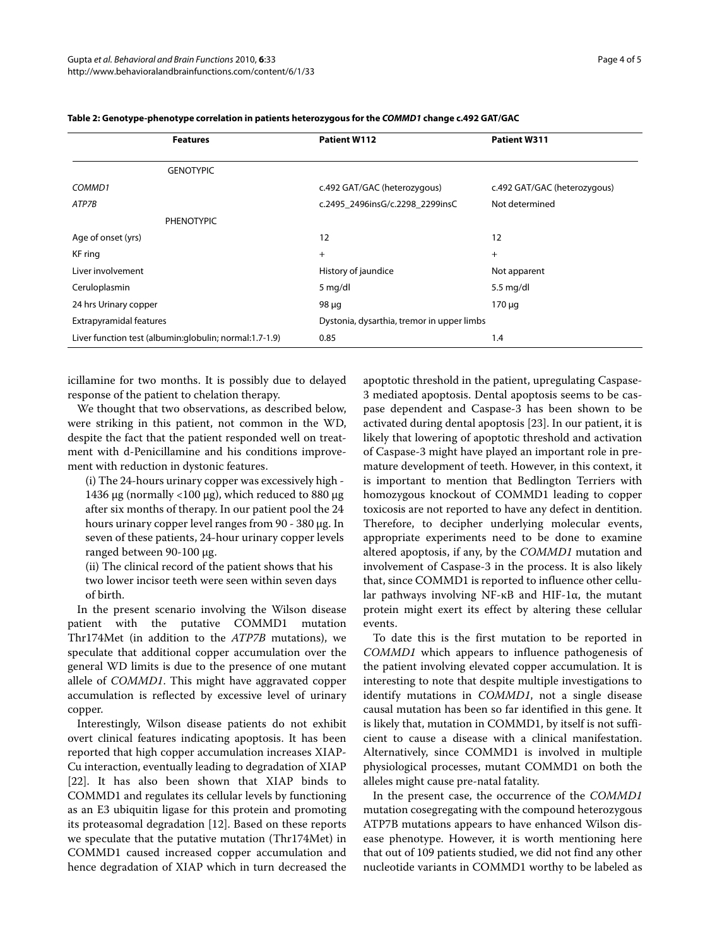| <b>Features</b>                                          | Patient W112                               | Patient W311                 |
|----------------------------------------------------------|--------------------------------------------|------------------------------|
|                                                          |                                            |                              |
| <b>GENOTYPIC</b>                                         |                                            |                              |
| COMMD1                                                   | c.492 GAT/GAC (heterozygous)               | c.492 GAT/GAC (heterozygous) |
| ATP7B                                                    | c.2495 2496insG/c.2298 2299insC            | Not determined               |
| <b>PHENOTYPIC</b>                                        |                                            |                              |
| Age of onset (yrs)                                       | 12                                         | 12                           |
| KF ring                                                  | $+$                                        | $+$                          |
| Liver involvement                                        | History of jaundice                        | Not apparent                 |
| Ceruloplasmin                                            | 5 mg/dl                                    | $5.5 \text{ mg/dl}$          |
| 24 hrs Urinary copper                                    | 98 µg                                      | $170 \mu q$                  |
| <b>Extrapyramidal features</b>                           | Dystonia, dysarthia, tremor in upper limbs |                              |
| Liver function test (albumin: globulin; normal: 1.7-1.9) | 0.85                                       | 1.4                          |

<span id="page-3-0"></span>**Table 2: Genotype-phenotype correlation in patients heterozygous for the COMMD1 change c.492 GAT/GAC**

icillamine for two months. It is possibly due to delayed response of the patient to chelation therapy.

We thought that two observations, as described below, were striking in this patient, not common in the WD, despite the fact that the patient responded well on treatment with d-Penicillamine and his conditions improvement with reduction in dystonic features.

(i) The 24-hours urinary copper was excessively high - 1436 μg (normally <100 μg), which reduced to 880 μg after six months of therapy. In our patient pool the 24 hours urinary copper level ranges from 90 - 380 μg. In seven of these patients, 24-hour urinary copper levels ranged between 90-100 μg.

(ii) The clinical record of the patient shows that his two lower incisor teeth were seen within seven days of birth.

In the present scenario involving the Wilson disease patient with the putative COMMD1 mutation Thr174Met (in addition to the ATP7B mutations), we speculate that additional copper accumulation over the general WD limits is due to the presence of one mutant allele of COMMD1. This might have aggravated copper accumulation is reflected by excessive level of urinary copper.

Interestingly, Wilson disease patients do not exhibit overt clinical features indicating apoptosis. It has been reported that high copper accumulation increases XIAP-Cu interaction, eventually leading to degradation of XIAP [[22\]](#page-4-21). It has also been shown that XIAP binds to COMMD1 and regulates its cellular levels by functioning as an E3 ubiquitin ligase for this protein and promoting its proteasomal degradation [[12\]](#page-4-11). Based on these reports we speculate that the putative mutation (Thr174Met) in COMMD1 caused increased copper accumulation and hence degradation of XIAP which in turn decreased the

apoptotic threshold in the patient, upregulating Caspase-3 mediated apoptosis. Dental apoptosis seems to be caspase dependent and Caspase-3 has been shown to be activated during dental apoptosis [[23](#page-4-22)]. In our patient, it is likely that lowering of apoptotic threshold and activation of Caspase-3 might have played an important role in premature development of teeth. However, in this context, it is important to mention that Bedlington Terriers with homozygous knockout of COMMD1 leading to copper toxicosis are not reported to have any defect in dentition. Therefore, to decipher underlying molecular events, appropriate experiments need to be done to examine altered apoptosis, if any, by the COMMD1 mutation and involvement of Caspase-3 in the process. It is also likely that, since COMMD1 is reported to influence other cellular pathways involving NF-κB and HIF-1α, the mutant protein might exert its effect by altering these cellular events.

To date this is the first mutation to be reported in COMMD1 which appears to influence pathogenesis of the patient involving elevated copper accumulation. It is interesting to note that despite multiple investigations to identify mutations in COMMD1, not a single disease causal mutation has been so far identified in this gene. It is likely that, mutation in COMMD1, by itself is not sufficient to cause a disease with a clinical manifestation. Alternatively, since COMMD1 is involved in multiple physiological processes, mutant COMMD1 on both the alleles might cause pre-natal fatality.

In the present case, the occurrence of the COMMD1 mutation cosegregating with the compound heterozygous ATP7B mutations appears to have enhanced Wilson disease phenotype. However, it is worth mentioning here that out of 109 patients studied, we did not find any other nucleotide variants in COMMD1 worthy to be labeled as